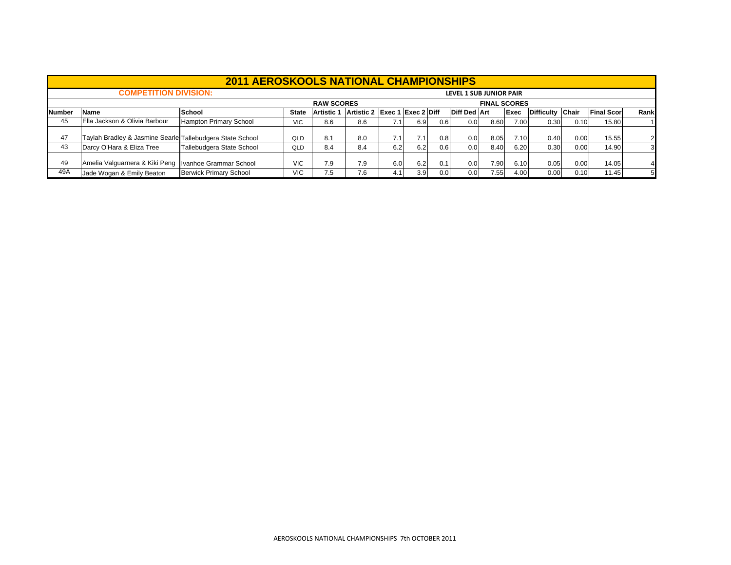|               |                                                                                                                                                                                                                                                                                                         | <b>2011 AEROSKOOLS NATIONAL CHAMPIONSHIPS</b> |            |                   |     |     |      |     |                                |                     |      |      |      |       |    |
|---------------|---------------------------------------------------------------------------------------------------------------------------------------------------------------------------------------------------------------------------------------------------------------------------------------------------------|-----------------------------------------------|------------|-------------------|-----|-----|------|-----|--------------------------------|---------------------|------|------|------|-------|----|
|               | <b>COMPETITION DIVISION:</b>                                                                                                                                                                                                                                                                            |                                               |            |                   |     |     |      |     | <b>LEVEL 1 SUB JUNIOR PAIR</b> |                     |      |      |      |       |    |
|               |                                                                                                                                                                                                                                                                                                         |                                               |            | <b>RAW SCORES</b> |     |     |      |     |                                | <b>FINAL SCORES</b> |      |      |      |       |    |
| <b>Number</b> | Exec 1 Exec 2 Diff<br>Rank<br><b>Diff Ded Art</b><br><b>Exec</b><br>Difficulty Chair<br><b>Final Score</b><br>School<br>Artistic 2<br><b>Name</b><br><b>Artistic 1</b><br><b>State</b><br>45<br>Ella Jackson & Olivia Barbour<br>0.0 <sub>1</sub><br>7.00<br>0.30<br>15.80<br>6.9<br>0.6<br>0.10<br>7.1 |                                               |            |                   |     |     |      |     |                                |                     |      |      |      |       |    |
|               |                                                                                                                                                                                                                                                                                                         | Hampton Primary School                        | <b>VIC</b> | 8.6               | 8.6 |     |      |     |                                | 8.60                |      |      |      |       |    |
| 47            | Taylah Bradley & Jasmine Searle Tallebudgera State School                                                                                                                                                                                                                                               |                                               | QLD        | 8.1               | 8.0 | 7.1 | 7.1. | 0.8 | 0.0 <sub>1</sub>               | 8.05                | 7.10 | 0.40 | 0.00 | 15.55 |    |
| 43            | Darcy O'Hara & Eliza Tree                                                                                                                                                                                                                                                                               | Tallebudgera State School                     | QLD        | 8.4               | 8.4 | 6.2 | 6.2  | 0.6 | 0.0 <sub>l</sub>               | 8.40                | 6.20 | 0.30 | 0.00 | 14.90 |    |
| 49            | Amelia Valguarnera & Kiki Peng                                                                                                                                                                                                                                                                          | Ivanhoe Grammar School                        | <b>VIC</b> | 7.9               | 7.9 | 6.0 | 6.2  | 0.1 | 0.0 <sub>1</sub>               | 7.90                | 6.10 | 0.05 | 0.00 | 14.05 |    |
| 49A           | Jade Wogan & Emily Beaton                                                                                                                                                                                                                                                                               | <b>Berwick Primary School</b>                 | <b>VIC</b> | 7.5               | 7.6 | 4.1 | 3.9  | 0.0 | 0.01                           | 7.55                | 4.00 | 0.00 | 0.10 | 11.45 | 51 |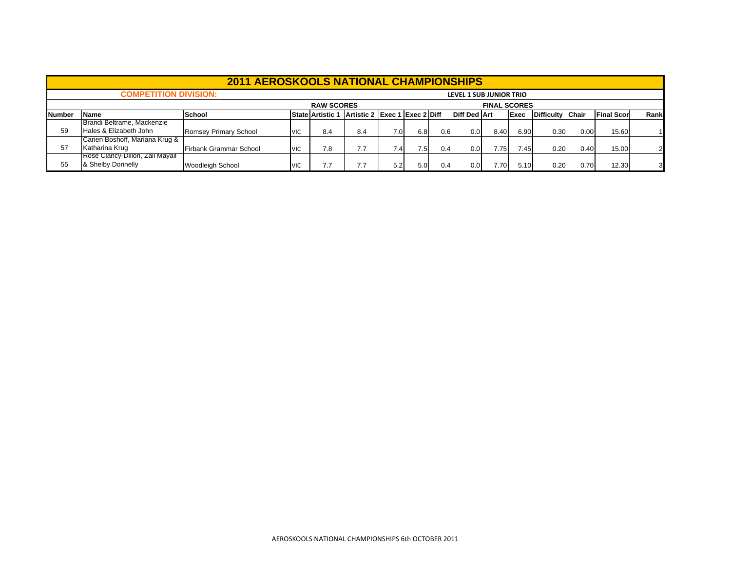|               |                                                                                                                                                                  | <b>2011 AEROSKOOLS NATIONAL CHAMPIONSHIPS</b> |            |                   |     |                  |      |     |                         |                     |      |      |      |       |      |
|---------------|------------------------------------------------------------------------------------------------------------------------------------------------------------------|-----------------------------------------------|------------|-------------------|-----|------------------|------|-----|-------------------------|---------------------|------|------|------|-------|------|
|               | <b>COMPETITION DIVISION:</b>                                                                                                                                     |                                               |            |                   |     |                  |      |     | LEVEL 1 SUB JUNIOR TRIO |                     |      |      |      |       |      |
|               |                                                                                                                                                                  |                                               |            | <b>RAW SCORES</b> |     |                  |      |     |                         | <b>FINAL SCORES</b> |      |      |      |       |      |
| <b>Number</b> | Artistic 2 Exec 1 Exec 2 Diff<br><b>Diff Ded Art</b><br>Difficulty Chair<br><b>Final Scor</b><br><b>School</b><br><b>State Artistic 1</b><br><b>Name</b><br>Exec |                                               |            |                   |     |                  |      |     |                         |                     |      |      |      |       | Rank |
|               | Brandi Beltrame, Mackenzie                                                                                                                                       |                                               |            |                   |     |                  |      |     |                         |                     |      |      |      |       |      |
| 59            | Hales & Elizabeth John                                                                                                                                           | Romsey Primary School                         | <b>VIC</b> | 8.4               | 8.4 | 7.0 <sub>l</sub> | 6.8  | 0.6 | 0.0                     | 8.40                | 6.90 | 0.30 | 0.00 | 15.60 |      |
|               | Carien Boshoff, Mariana Krug &                                                                                                                                   |                                               |            |                   |     |                  |      |     |                         |                     |      |      |      |       |      |
| 57            | Katharina Krug                                                                                                                                                   | <b>Firbank Grammar School</b>                 | <b>VIC</b> | 7.8               | 7.7 | 7.4              | 7.51 | 0.4 | 0.0                     | 7.75                | 7.45 | 0.20 | 0.40 | 15.00 |      |
|               | Rose Clancy-Dillon, Zali Mayall                                                                                                                                  |                                               |            |                   |     |                  |      |     |                         |                     |      |      |      |       |      |
| 55            | & Shelby Donnelly                                                                                                                                                | <b>Woodleigh School</b>                       | <b>VIC</b> | 7.7               | 7.7 | 5.2              | 5.0  | 0.4 | 0.0                     | 7.70                | 5.10 | 0.20 | 0.70 | 12.30 |      |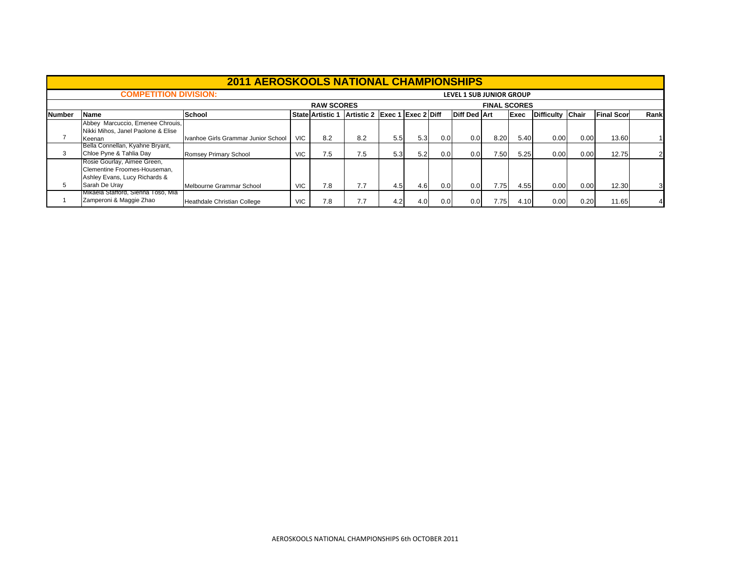|               |                                                                                              | <b>2011 AEROSKOOLS NATIONAL CHAMPIONSHIPS</b> |            |                         |                               |     |     |     |                                 |                     |             |                  |      |                   |              |
|---------------|----------------------------------------------------------------------------------------------|-----------------------------------------------|------------|-------------------------|-------------------------------|-----|-----|-----|---------------------------------|---------------------|-------------|------------------|------|-------------------|--------------|
|               | <b>COMPETITION DIVISION:</b>                                                                 |                                               |            |                         |                               |     |     |     | <b>LEVEL 1 SUB JUNIOR GROUP</b> |                     |             |                  |      |                   |              |
|               |                                                                                              |                                               |            | <b>RAW SCORES</b>       |                               |     |     |     |                                 | <b>FINAL SCORES</b> |             |                  |      |                   |              |
| <b>Number</b> | <b>Name</b>                                                                                  | <b>School</b>                                 |            | <b>State Artistic 1</b> | Artistic 2 Exec 1 Exec 2 Diff |     |     |     | <b>Diff Ded Art</b>             |                     | <b>Exec</b> | Difficulty Chair |      | <b>Final Scor</b> | Rank         |
|               | Abbey Marcuccio, Emenee Chrouis,<br>Nikki Mihos, Janel Paolone & Elise                       |                                               |            | 8.2                     |                               |     |     |     |                                 |                     |             |                  |      |                   |              |
|               | Keenan<br>Bella Connellan, Kyahne Bryant,                                                    | Ivanhoe Girls Grammar Junior School           | VIC.       |                         | 8.2                           | 5.5 | 5.3 | 0.0 | 0.0                             | 8.20                | 5.40        | 0.00             | 0.00 | 13.60             |              |
| 3             | Chloe Pyne & Tahlia Day                                                                      | Romsey Primary School                         | <b>VIC</b> | 7.5                     | 7.5                           | 5.3 | 5.2 | 0.0 | 0.0                             | 7.50                | 5.25        | 0.00             | 0.00 | 12.75             | $\mathsf{2}$ |
|               | Rosie Gourlay, Aimee Green,<br>Clementine Froomes-Houseman,<br>Ashley Evans, Lucy Richards & |                                               |            |                         |                               |     |     |     |                                 |                     |             |                  |      |                   |              |
| 5             | Sarah De Urav                                                                                | Melbourne Grammar School                      | <b>VIC</b> | 7.8                     | 7.7                           | 4.5 | 4.6 | 0.0 | 0.0                             | 7.75                | 4.55        | 0.00             | 0.00 | 12.30             | 3            |
|               | Mikaela Stafford, Sienna Toso, Mia<br>Zamperoni & Maggie Zhao                                | Heathdale Christian College                   | <b>VIC</b> | 7.8                     | 7.7                           | 4.2 | 4.0 | 0.0 | 0.0                             | 7.75                | 4.10        | 0.00             | 0.20 | 11.65             |              |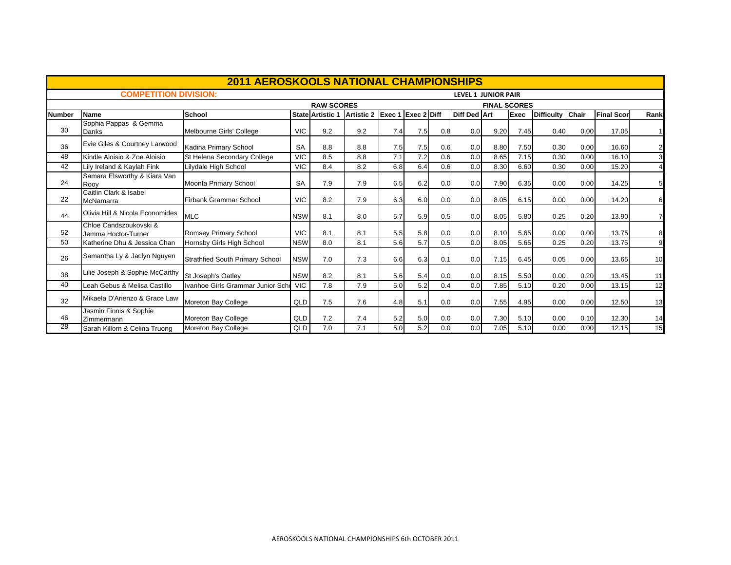|               |                                               | <b>2011 AEROSKOOLS NATIONAL CHAMPIONSHIPS</b> |            |                         |                               |     |     |     |                            |                     |      |                  |      |                   |                |
|---------------|-----------------------------------------------|-----------------------------------------------|------------|-------------------------|-------------------------------|-----|-----|-----|----------------------------|---------------------|------|------------------|------|-------------------|----------------|
|               | <b>COMPETITION DIVISION:</b>                  |                                               |            |                         |                               |     |     |     | <b>LEVEL 1 JUNIOR PAIR</b> |                     |      |                  |      |                   |                |
|               |                                               |                                               |            | <b>RAW SCORES</b>       |                               |     |     |     |                            | <b>FINAL SCORES</b> |      |                  |      |                   |                |
| <b>Number</b> | <b>Name</b>                                   | <b>School</b>                                 |            | <b>State Artistic 1</b> | Artistic 2 Exec 1 Exec 2 Diff |     |     |     | <b>Diff Ded Art</b>        |                     | Exec | Difficulty Chair |      | <b>Final Scor</b> | Rank           |
| 30            | Sophia Pappas & Gemma<br>Danks                | Melbourne Girls' College                      | <b>VIC</b> | 9.2                     | 9.2                           | 7.4 | 7.5 | 0.8 | 0.0                        | 9.20                | 7.45 | 0.40             | 0.00 | 17.05             | $\overline{1}$ |
| 36            | Evie Giles & Courtney Larwood                 | Kadina Primary School                         | <b>SA</b>  | 8.8                     | 8.8                           | 7.5 | 7.5 | 0.6 | 0.0                        | 8.80                | 7.50 | 0.30             | 0.00 | 16.60             | $\overline{2}$ |
| 48            | Kindle Aloisio & Zoe Aloisio                  | St Helena Secondary College                   | <b>VIC</b> | 8.5                     | 8.8                           | 7.1 | 7.2 | 0.6 | 0.0                        | 8.65                | 7.15 | 0.30             | 0.00 | 16.10             | 3              |
| 42            | Lily Ireland & Kaylah Fink                    | Lilydale High School                          | <b>VIC</b> | 8.4                     | 8.2                           | 6.8 | 6.4 | 0.6 | 0.0                        | 8.30                | 6.60 | 0.30             | 0.00 | 15.20             | $\overline{4}$ |
| 24            | Samara Elsworthy & Kiara Van<br>Roov          | Moonta Primary School                         | <b>SA</b>  | 7.9                     | 7.9                           | 6.5 | 6.2 | 0.0 | 0.0                        | 7.90                | 6.35 | 0.00             | 0.00 | 14.25             | 5 <sub>5</sub> |
| 22            | Caitlin Clark & Isabel<br>McNamarra           | <b>Firbank Grammar School</b>                 | <b>VIC</b> | 8.2                     | 7.9                           | 6.3 | 6.0 | 0.0 | 0.0                        | 8.05                | 6.15 | 0.00             | 0.00 | 14.20             | 6              |
| 44            | Olivia Hill & Nicola Economides               | <b>MLC</b>                                    | <b>NSW</b> | 8.1                     | 8.0                           | 5.7 | 5.9 | 0.5 | 0.0                        | 8.05                | 5.80 | 0.25             | 0.20 | 13.90             | $\overline{7}$ |
| 52            | Chloe Candszoukovski &<br>Jemma Hoctor-Turner | Romsey Primary School                         | <b>VIC</b> | 8.1                     | 8.1                           | 5.5 | 5.8 | 0.0 | 0.0                        | 8.10                | 5.65 | 0.00             | 0.00 | 13.75             | 8              |
| 50            | Katherine Dhu & Jessica Chan                  | Hornsby Girls High School                     | <b>NSW</b> | 8.0                     | 8.1                           | 5.6 | 5.7 | 0.5 | 0.0                        | 8.05                | 5.65 | 0.25             | 0.20 | 13.75             | 9              |
| 26            | Samantha Ly & Jaclyn Nguyen                   | <b>Strathfied South Primary School</b>        | <b>NSW</b> | 7.0                     | 7.3                           | 6.6 | 6.3 | 0.1 | 0.0                        | 7.15                | 6.45 | 0.05             | 0.00 | 13.65             | 10             |
| 38            | Lilie Joseph & Sophie McCarthy                | St Joseph's Oatley                            | <b>NSW</b> | 8.2                     | 8.1                           | 5.6 | 5.4 | 0.0 | 0.0                        | 8.15                | 5.50 | 0.00             | 0.20 | 13.45             | 11             |
| 40            | Leah Gebus & Melisa Castillo                  | Ivanhoe Girls Grammar Junior Scho             | <b>VIC</b> | 7.8                     | 7.9                           | 5.0 | 5.2 | 0.4 | 0.0                        | 7.85                | 5.10 | 0.20             | 0.00 | 13.15             | 12             |
| 32            | Mikaela D'Arienzo & Grace Law                 | Moreton Bay College                           | QLD        | 7.5                     | 7.6                           | 4.8 | 5.1 | 0.0 | 0.0                        | 7.55                | 4.95 | 0.00             | 0.00 | 12.50             | 13             |
| 46            | Jasmin Finnis & Sophie<br>Zimmermann          | Moreton Bay College                           | QLD        | 7.2                     | 7.4                           | 5.2 | 5.0 | 0.0 | 0.0                        | 7.30                | 5.10 | 0.00             | 0.10 | 12.30             | 14             |
| 28            | Sarah Killorn & Celina Truong                 | Moreton Bay College                           | QLD        | 7.0                     | 7.1                           | 5.0 | 5.2 | 0.0 | 0.0                        | 7.05                | 5.10 | 0.00             | 0.00 | 12.15             | 15             |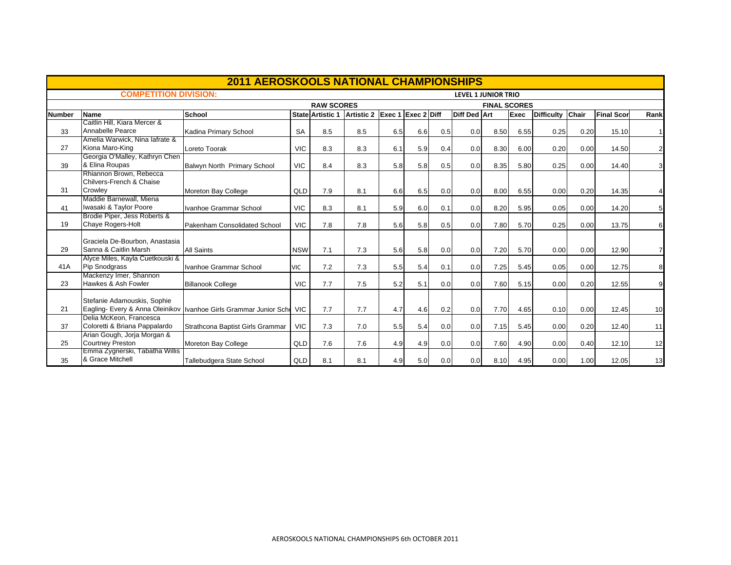|        |                                                        | <b>2011 AEROSKOOLS NATIONAL CHAMPIONSHIPS</b> |            |                         |                               |     |     |     |                            |                     |      |                  |      |                   |                  |
|--------|--------------------------------------------------------|-----------------------------------------------|------------|-------------------------|-------------------------------|-----|-----|-----|----------------------------|---------------------|------|------------------|------|-------------------|------------------|
|        | <b>COMPETITION DIVISION:</b>                           |                                               |            |                         |                               |     |     |     | <b>LEVEL 1 JUNIOR TRIO</b> |                     |      |                  |      |                   |                  |
|        |                                                        |                                               |            | <b>RAW SCORES</b>       |                               |     |     |     |                            | <b>FINAL SCORES</b> |      |                  |      |                   |                  |
| Number | Name                                                   | School                                        |            | <b>State Artistic 1</b> | Artistic 2 Exec 1 Exec 2 Diff |     |     |     | Diff Ded Art               |                     | Exec | Difficulty Chair |      | <b>Final Scor</b> | Rank             |
|        | Caitlin Hill, Kiara Mercer &                           |                                               |            |                         |                               |     |     |     |                            |                     |      |                  |      |                   |                  |
| 33     | Annabelle Pearce                                       | Kadina Primary School                         | <b>SA</b>  | 8.5                     | 8.5                           | 6.5 | 6.6 | 0.5 | 0.0                        | 8.50                | 6.55 | 0.25             | 0.20 | 15.10             | 1                |
|        | Amelia Warwick, Nina lafrate &                         |                                               |            |                         |                               |     |     |     |                            |                     |      |                  |      |                   |                  |
| 27     | Kiona Maro-King                                        | Loreto Toorak                                 | <b>VIC</b> | 8.3                     | 8.3                           | 6.1 | 5.9 | 0.4 | 0.0                        | 8.30                | 6.00 | 0.20             | 0.00 | 14.50             | $\overline{2}$   |
| 39     | Georgia O'Malley, Kathryn Chen<br>& Elina Roupas       | Balwyn North Primary School                   | <b>VIC</b> | 8.4                     | 8.3                           | 5.8 | 5.8 | 0.5 | 0.0                        | 8.35                | 5.80 | 0.25             | 0.00 | 14.40             | 3                |
|        | Rhiannon Brown, Rebecca                                |                                               |            |                         |                               |     |     |     |                            |                     |      |                  |      |                   |                  |
|        | Chilvers-French & Chaise                               |                                               |            |                         |                               |     |     |     |                            |                     |      |                  |      |                   |                  |
| 31     | Crowley                                                | Moreton Bay College                           | QLD        | 7.9                     | 8.1                           | 6.6 | 6.5 | 0.0 | 0.0                        | 8.00                | 6.55 | 0.00             | 0.20 | 14.35             | $\overline{4}$   |
|        | Maddie Barnewall, Miena                                |                                               |            |                         |                               |     |     |     |                            |                     |      |                  |      |                   |                  |
| 41     | Iwasaki & Taylor Poore                                 | Ivanhoe Grammar School                        | <b>VIC</b> | 8.3                     | 8.1                           | 5.9 | 6.0 | 0.1 | 0.0                        | 8.20                | 5.95 | 0.05             | 0.00 | 14.20             | 5 <sub>5</sub>   |
|        | Brodie Piper, Jess Roberts &                           |                                               |            |                         |                               |     |     |     |                            |                     |      |                  |      |                   |                  |
| 19     | Chaye Rogers-Holt                                      | Pakenham Consolidated School                  | <b>VIC</b> | 7.8                     | 7.8                           | 5.6 | 5.8 | 0.5 | 0.0                        | 7.80                | 5.70 | 0.25             | 0.00 | 13.75             | $6 \overline{6}$ |
|        | Graciela De-Bourbon, Anastasia                         |                                               |            |                         |                               |     |     |     |                            |                     |      |                  |      |                   |                  |
| 29     | Sanna & Caitlin Marsh                                  | <b>All Saints</b>                             | <b>NSW</b> | 7.1                     | 7.3                           | 5.6 | 5.8 | 0.0 | 0.0 <sub>l</sub>           | 7.20                | 5.70 | 0.00             | 0.00 | 12.90             | $\overline{7}$   |
|        | Alyce Miles, Kayla Cuetkouski &                        |                                               |            |                         |                               |     |     |     |                            |                     |      |                  |      |                   |                  |
| 41A    | <b>Pip Snodgrass</b>                                   | Ivanhoe Grammar School                        | <b>VIC</b> | 7.2                     | 7.3                           | 5.5 | 5.4 | 0.1 | 0.0                        | 7.25                | 5.45 | 0.05             | 0.00 | 12.75             | 8                |
|        | Mackenzy Imer, Shannon                                 |                                               |            |                         |                               |     |     |     |                            |                     |      |                  |      |                   |                  |
| 23     | Hawkes & Ash Fowler                                    | <b>Billanook College</b>                      | <b>VIC</b> | 7.7                     | 7.5                           | 5.2 | 5.1 | 0.0 | 0.0                        | 7.60                | 5.15 | 0.00             | 0.20 | 12.55             | $\overline{9}$   |
|        |                                                        |                                               |            |                         |                               |     |     |     |                            |                     |      |                  |      |                   |                  |
|        | Stefanie Adamouskis, Sophie                            |                                               |            |                         |                               |     |     |     |                            |                     |      |                  |      |                   |                  |
| 21     | Eagling- Every & Anna Oleinikov                        | Ivanhoe Girls Grammar Junior Scho             | <b>VIC</b> | 7.7                     | 7.7                           | 4.7 | 4.6 | 0.2 | 0.0                        | 7.70                | 4.65 | 0.10             | 0.00 | 12.45             | 10               |
|        | Delia McKeon, Francesca                                |                                               |            |                         |                               |     |     |     |                            |                     |      |                  |      |                   |                  |
| 37     | Coloretti & Briana Pappalardo                          | Strathcona Baptist Girls Grammar              | <b>VIC</b> | 7.3                     | 7.0                           | 5.5 | 5.4 | 0.0 | 0.0                        | 7.15                | 5.45 | 0.00             | 0.20 | 12.40             | 11               |
| 25     | Arian Gough, Jorja Morgan &<br><b>Courtney Preston</b> |                                               |            | 7.6                     | 7.6                           |     |     |     | 0.0                        |                     |      |                  |      |                   |                  |
|        | Emma Zygnerski, I abatha Willis                        | Moreton Bay College                           | QLD        |                         |                               | 4.9 | 4.9 | 0.0 |                            | 7.60                | 4.90 | 0.00             | 0.40 | 12.10             | 12               |
| 35     | & Grace Mitchell                                       | Tallebudgera State School                     | QLD        | 8.1                     | 8.1                           | 4.9 | 5.0 | 0.0 | 0.0                        | 8.10                | 4.95 | 0.00             | 1.00 | 12.05             | 13               |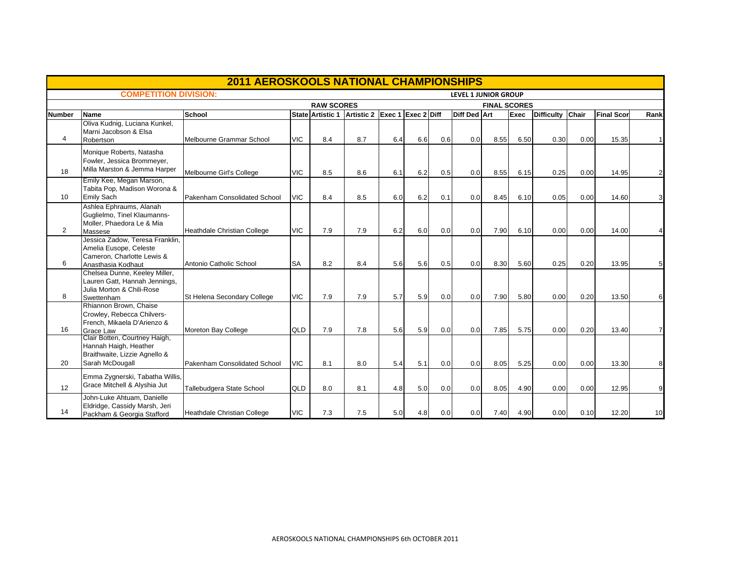|                |                                                                                                               | <b>2011 AEROSKOOLS NATIONAL CHAMPIONSHIPS</b> |            |                   |                               |     |     |     |                             |                     |      |                  |      |                   |                |
|----------------|---------------------------------------------------------------------------------------------------------------|-----------------------------------------------|------------|-------------------|-------------------------------|-----|-----|-----|-----------------------------|---------------------|------|------------------|------|-------------------|----------------|
|                | <b>COMPETITION DIVISION:</b>                                                                                  |                                               |            |                   |                               |     |     |     | <b>LEVEL 1 JUNIOR GROUP</b> |                     |      |                  |      |                   |                |
|                |                                                                                                               |                                               |            | <b>RAW SCORES</b> |                               |     |     |     |                             | <b>FINAL SCORES</b> |      |                  |      |                   |                |
| Number         | Name                                                                                                          | <b>School</b>                                 |            | State Artistic 1  | Artistic 2 Exec 1 Exec 2 Diff |     |     |     | <b>Diff Ded Art</b>         |                     | Exec | Difficulty Chair |      | <b>Final Scor</b> | Rank           |
| $\overline{4}$ | Oliva Kudnig, Luciana Kunkel,<br>Marni Jacobson & Elsa<br>Robertson                                           | Melbourne Grammar School                      | <b>VIC</b> | 8.4               | 8.7                           | 6.4 | 6.6 | 0.6 | 0.0                         | 8.55                | 6.50 | 0.30             | 0.00 | 15.35             | 1              |
| 18             | Monique Roberts, Natasha<br>Fowler, Jessica Brommeyer,<br>Milla Marston & Jemma Harper                        | Melbourne Girl's College                      | <b>VIC</b> | 8.5               | 8.6                           | 6.1 | 6.2 | 0.5 | 0.0                         | 8.55                | 6.15 | 0.25             | 0.00 | 14.95             | $\overline{2}$ |
| 10             | Emily Kee, Megan Marson,<br>Tabita Pop, Madison Worona &<br><b>Emily Sach</b>                                 | Pakenham Consolidated School                  | <b>VIC</b> | 8.4               | 8.5                           | 6.0 | 6.2 | 0.1 | 0.0                         | 8.45                | 6.10 | 0.05             | 0.00 | 14.60             | 3              |
| 2              | Ashlea Ephraums, Alanah<br>Guglielmo, Tinel Klaumanns-<br>Moller, Phaedora Le & Mia<br>Massese                | Heathdale Christian College                   | <b>VIC</b> | 7.9               | 7.9                           | 6.2 | 6.0 | 0.0 | 0.0                         | 7.90                | 6.10 | 0.00             | 0.00 | 14.00             |                |
| 6              | Jessica Zadow, Teresa Franklin,<br>Amelia Eusope, Celeste<br>Cameron, Charlotte Lewis &<br>Anasthasia Kodhaut | Antonio Catholic School                       | <b>SA</b>  | 8.2               | 8.4                           | 5.6 | 5.6 | 0.5 | 0.0                         | 8.30                | 5.60 | 0.25             | 0.20 | 13.95             | 5              |
| 8              | Chelsea Dunne, Keeley Miller,<br>Lauren Gatt, Hannah Jennings,<br>Julia Morton & Chili-Rose<br>Swettenham     | St Helena Secondary College                   | <b>VIC</b> | 7.9               | 7.9                           | 5.7 | 5.9 | 0.0 | 0.0                         | 7.90                | 5.80 | 0.00             | 0.20 | 13.50             | 6              |
| 16             | Rhiannon Brown, Chaise<br>Crowley, Rebecca Chilvers-<br>French, Mikaela D'Arienzo &<br><b>Grace Law</b>       | Moreton Bay College                           | QLD        | 7.9               | 7.8                           | 5.6 | 5.9 | 0.0 | 0.0                         | 7.85                | 5.75 | 0.00             | 0.20 | 13.40             | $\overline{7}$ |
| 20             | Clair Botten, Courtney Haigh,<br>Hannah Haigh, Heather<br>Braithwaite, Lizzie Agnello &<br>Sarah McDougall    | Pakenham Consolidated School                  | <b>VIC</b> | 8.1               | 8.0                           | 5.4 | 5.1 | 0.0 | 0.0                         | 8.05                | 5.25 | 0.00             | 0.00 | 13.30             | 8              |
| 12             | Emma Zygnerski, Tabatha Willis,<br>Grace Mitchell & Alyshia Jut                                               | Tallebudgera State School                     | QLD        | 8.0               | 8.1                           | 4.8 | 5.0 | 0.0 | 0.0                         | 8.05                | 4.90 | 0.00             | 0.00 | 12.95             | 9              |
| 14             | John-Luke Ahtuam, Danielle<br>Eldridge, Cassidy Marsh, Jeri<br>Packham & Georgia Stafford                     | Heathdale Christian College                   | <b>VIC</b> | 7.3               | 7.5                           | 5.0 | 4.8 | 0.0 | 0.0                         | 7.40                | 4.90 | 0.00             | 0.10 | 12.20             | 10             |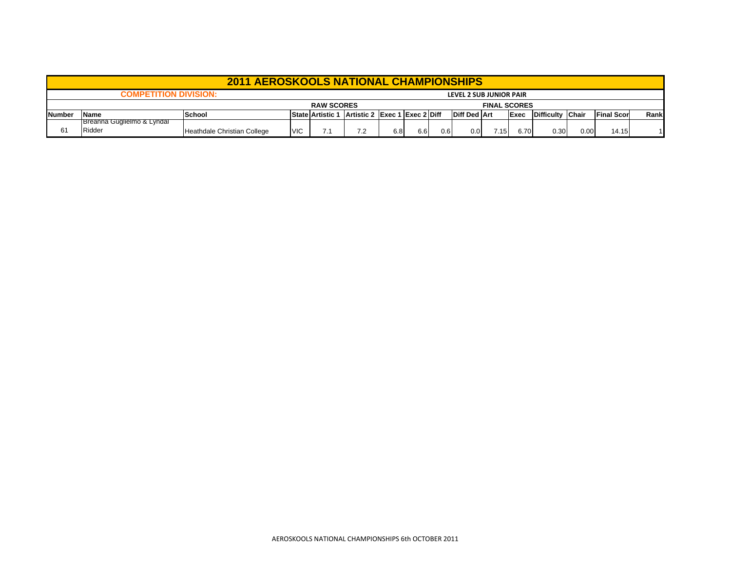|                |                                      | <b>2011 AEROSKOOLS NATIONAL CHAMPIONSHIPS</b> |            |                                                |     |     |      |     |                         |                     |              |                  |      |                   |      |
|----------------|--------------------------------------|-----------------------------------------------|------------|------------------------------------------------|-----|-----|------|-----|-------------------------|---------------------|--------------|------------------|------|-------------------|------|
|                | <b>COMPETITION DIVISION:</b>         |                                               |            |                                                |     |     |      |     | LEVEL 2 SUB JUNIOR PAIR |                     |              |                  |      |                   |      |
|                |                                      |                                               |            | <b>RAW SCORES</b>                              |     |     |      |     |                         | <b>FINAL SCORES</b> |              |                  |      |                   |      |
| <b>INumber</b> | <b>Name</b>                          | <b>School</b>                                 |            | State Artistic 1 Artistic 2 Exec 1 Exec 2 Diff |     |     |      |     | <b>Diff Ded Art</b>     |                     | <b>IExec</b> | Difficulty Chair |      | <b>Final Scor</b> | Rank |
| 61             | Breanna Guglielmo & Lyndal<br>Ridder | Heathdale Christian College                   | <b>VIC</b> |                                                | 7.2 | 6.8 | 6.61 | 0.6 | 0.0                     | 7.15                | 6.70         | 0.30             | 0.00 | 14.15             |      |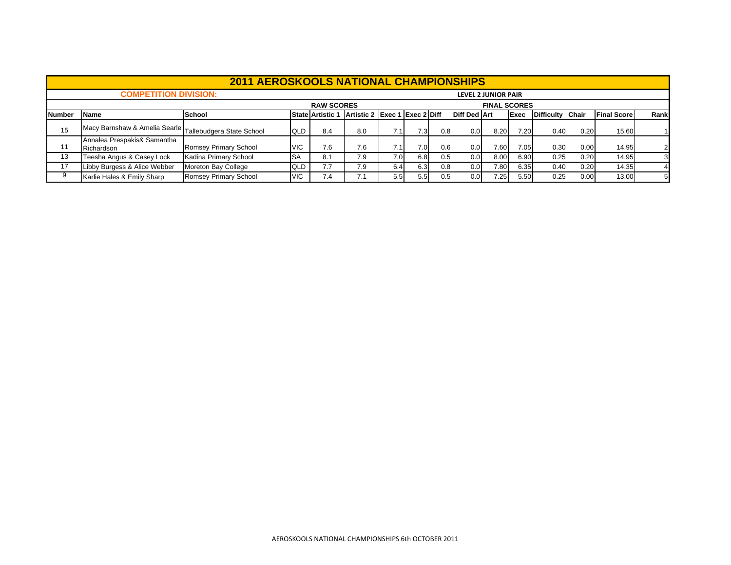|        |                                                           | <b>2011 AEROSKOOLS NATIONAL CHAMPIONSHIPS</b> |            |                   |                               |                  |     |                  |                     |                            |      |                  |      |                    |      |
|--------|-----------------------------------------------------------|-----------------------------------------------|------------|-------------------|-------------------------------|------------------|-----|------------------|---------------------|----------------------------|------|------------------|------|--------------------|------|
|        | <b>COMPETITION DIVISION:</b>                              |                                               |            |                   |                               |                  |     |                  |                     | <b>LEVEL 2 JUNIOR PAIR</b> |      |                  |      |                    |      |
|        |                                                           |                                               |            | <b>RAW SCORES</b> |                               |                  |     |                  |                     | <b>FINAL SCORES</b>        |      |                  |      |                    |      |
| Number | <b>Name</b>                                               | <b>School</b>                                 |            | State Artistic 1  | Artistic 2 Exec 1 Exec 2 Diff |                  |     |                  | <b>Diff Ded Art</b> |                            | Exec | Difficulty Chair |      | <b>Final Score</b> | Rank |
| 15     | Macy Barnshaw & Amelia Searle   Tallebudgera State School |                                               | QLD        | 8.4               | 8.0                           | 7.11             | 7.3 | 0.8 <sub>l</sub> | 0.0                 | 8.20                       | 7.20 | 0.40             | 0.20 | 15.60              |      |
| 11     | Annalea Prespakis& Samantha<br>Richardson                 | Romsey Primary School                         | <b>VIC</b> | 7.6               | 7.6                           | 7.1              | 7.0 | 0.6              | 0.0                 | 7.60                       | 7.05 | 0.30             | 0.00 | 14.95              |      |
| 13     | Teesha Angus & Casey Lock                                 | Kadina Primary School                         | <b>SA</b>  | 8.1               | 7.9                           | 7.0 <sub>l</sub> | 6.8 | 0.5              | 0.0                 | 8.00                       | 6.90 | 0.25             | 0.20 | 14.95              | 3    |
| 17     | Libby Burgess & Alice Webber                              | Moreton Bay College                           | QLD        | 7.7               | 7.9                           | 6.4              | 6.3 | 0.8              | 0.0                 | 7.80                       | 6.35 | 0.40             | 0.20 | 14.35              |      |
| 9      | Karlie Hales & Emily Sharp                                | Romsey Primary School                         | <b>VIC</b> | 7.4               | 7.1                           | 5.5              | 5.5 | 0.5              | 0.0                 | 7.25                       | 5.50 | 0.25             | 0.00 | 13.00              |      |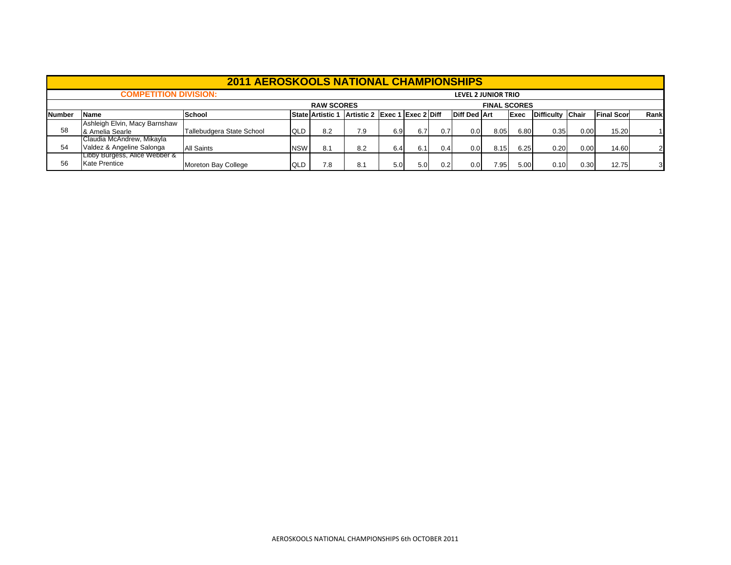|               |                               | <b>2011 AEROSKOOLS NATIONAL CHAMPIONSHIPS</b> |            |                         |                               |     |     |     |                     |                     |      |                  |      |                   |      |
|---------------|-------------------------------|-----------------------------------------------|------------|-------------------------|-------------------------------|-----|-----|-----|---------------------|---------------------|------|------------------|------|-------------------|------|
|               | <b>COMPETITION DIVISION:</b>  |                                               |            |                         |                               |     |     |     | LEVEL 2 JUNIOR TRIO |                     |      |                  |      |                   |      |
|               |                               |                                               |            | <b>RAW SCORES</b>       |                               |     |     |     |                     | <b>FINAL SCORES</b> |      |                  |      |                   |      |
| <b>Number</b> | <b>Name</b>                   | <b>School</b>                                 |            | <b>State Artistic 1</b> | Artistic 2 Exec 1 Exec 2 Diff |     |     |     | <b>Diff Ded Art</b> |                     | Exec | Difficulty Chair |      | <b>Final Scor</b> | Rank |
|               | Ashleigh Elvin, Macy Barnshaw |                                               |            |                         |                               |     |     |     |                     |                     |      |                  |      |                   |      |
| 58            | 8 Amelia Searle               | Tallebudgera State School                     | QLD        | 8.2                     | 7.9                           | 6.9 | 6.7 | 0.7 | 0.0                 | 8.05                | 6.80 | 0.35             | 0.00 | 15.20             |      |
|               | Claudia McAndrew, Mikayla     |                                               |            |                         |                               |     |     |     |                     |                     |      |                  |      |                   |      |
| 54            | Valdez & Angeline Salonga     | <b>All Saints</b>                             | <b>NSW</b> | 8.1                     | 8.2                           | 6.4 | 6.1 | 0.4 | 0.0                 | 8.15                | 6.25 | 0.20             | 0.00 | 14.60             |      |
|               | Libby Burgess, Alice Webber & |                                               |            |                         |                               |     |     |     |                     |                     |      |                  |      |                   |      |
| 56            | <b>Kate Prentice</b>          | Moreton Bay College                           | QLD        | 7.8                     | 8.1                           | 5.0 | 5.0 | 0.2 | 0.0                 | 7.95                | 5.00 | 0.10             | 0.30 | 12.75             | 3    |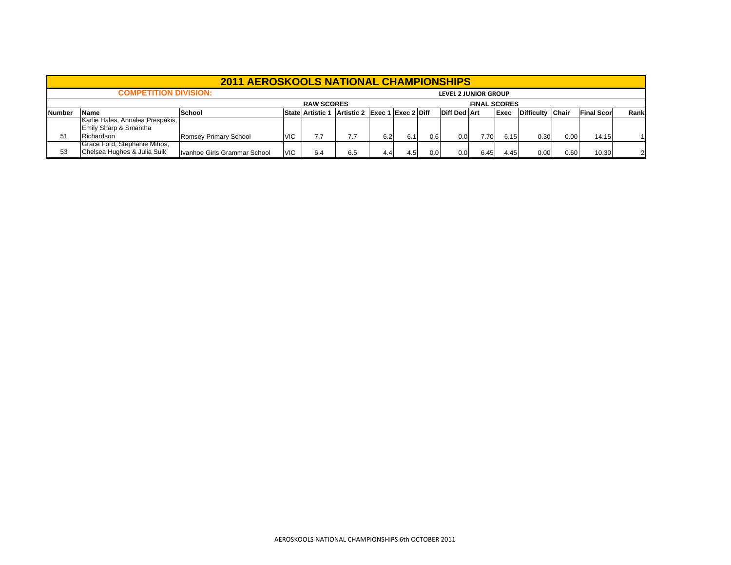|         |                                                                                                                                                            | <b>2011 AEROSKOOLS NATIONAL CHAMPIONSHIPS</b> |            |                   |     |     |     |      |                             |                     |      |      |      |       |    |
|---------|------------------------------------------------------------------------------------------------------------------------------------------------------------|-----------------------------------------------|------------|-------------------|-----|-----|-----|------|-----------------------------|---------------------|------|------|------|-------|----|
|         | <b>COMPETITION DIVISION:</b>                                                                                                                               |                                               |            |                   |     |     |     |      | <b>LEVEL 2 JUNIOR GROUP</b> |                     |      |      |      |       |    |
|         |                                                                                                                                                            |                                               |            | <b>RAW SCORES</b> |     |     |     |      |                             | <b>FINAL SCORES</b> |      |      |      |       |    |
| lNumber | Artistic 2 Exec 1 Exec 2 Diff<br><b>Diff Ded Art</b><br>Difficulty Chair<br><b>Final Scor</b><br>Rank<br>State Artistic 1<br>Exec<br>School<br><b>Name</b> |                                               |            |                   |     |     |     |      |                             |                     |      |      |      |       |    |
|         | Karlie Hales, Annalea Prespakis,                                                                                                                           |                                               |            |                   |     |     |     |      |                             |                     |      |      |      |       |    |
|         | Emily Sharp & Smantha                                                                                                                                      |                                               |            |                   |     |     |     |      |                             |                     |      |      |      |       |    |
| 51      | Richardson                                                                                                                                                 | Romsey Primary School                         | <b>VIC</b> |                   | 7.7 | 6.2 | 6.1 | 0.6  | 0.0                         | 7.70                | 6.15 | 0.30 | 0.00 | 14.15 |    |
|         | Grace Ford, Stephanie Mihos,                                                                                                                               |                                               |            |                   |     |     |     |      |                             |                     |      |      |      |       |    |
| 53      | Chelsea Hughes & Julia Suik                                                                                                                                | Ivanhoe Girls Grammar School                  | <b>VIC</b> | 6.4               | 6.5 | 4.4 | 4.5 | 0.01 | 0.0                         | 6.45                | 4.45 | 0.00 | 0.60 | 10.30 | 21 |